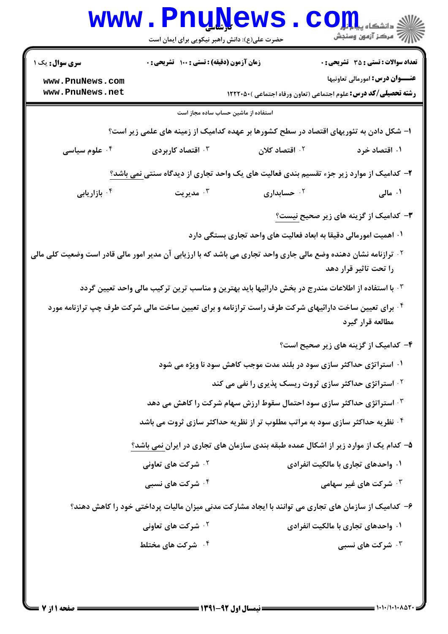|                                                                                                                             | <b>www.PnuNews</b><br>حضرت علی(ع): دانش راهبر نیکویی برای ایمان است                                              |                                                                      | أأأأه مركز آزمون وسنجش                                                                              |
|-----------------------------------------------------------------------------------------------------------------------------|------------------------------------------------------------------------------------------------------------------|----------------------------------------------------------------------|-----------------------------------------------------------------------------------------------------|
| سری سوال: یک ۱                                                                                                              | زمان آزمون (دقیقه) : تستی : ۱۰۰ آتشریحی : ۰                                                                      |                                                                      | تعداد سوالات : تستى : 35 تشريحي : 0                                                                 |
| www.PnuNews.com                                                                                                             |                                                                                                                  |                                                                      | عنـــوان درس: امورمالی تعاونیها                                                                     |
| www.PnuNews.net                                                                                                             |                                                                                                                  |                                                                      | <b>رشته تحصیلی/کد درس:</b> علوم اجتماعی (تعاون ورفاه اجتماعی )1۲۲۲۰۵۰                               |
|                                                                                                                             | استفاده از ماشین حساب ساده مجاز است                                                                              |                                                                      |                                                                                                     |
|                                                                                                                             |                                                                                                                  |                                                                      | ا– شکل دادن به تئوریهای اقتصاد در سطح کشورها بر عهده کدامیک از زمینه های علمی زیر است؟              |
| ۰۴ علوم سیاسی                                                                                                               | اقتصاد کاربردی $\cdot$ "                                                                                         | ۰۲ اقتصاد کلان                                                       | ۰۱ اقتصاد خرد                                                                                       |
|                                                                                                                             |                                                                                                                  |                                                                      | ۲- کدامیک از موارد زیر جزء تقسیم بندی فعالیت های یک واحد تجاری از دیدگاه سنتی نمی باشد؟             |
| ۰۴ بازاریابی                                                                                                                | مديريت $\cdot$                                                                                                   | $\cdot$ حسابداری $\cdot$                                             | ۰۱ مالی                                                                                             |
|                                                                                                                             |                                                                                                                  |                                                                      | <b>۳</b> - کدامیک از گزینه های زیر صحیح <u>نیست؟</u>                                                |
|                                                                                                                             |                                                                                                                  | ۰۱ اهمیت امورمالی دقیقا به ابعاد فعالیت های واحد تجاری بستگی دارد    |                                                                                                     |
| <sup>۲ .</sup> ترازنامه نشان دهنده وضع مالی جاری واحد تجاری می باشد که با ارزیابی آن مدیر امور مالی قادر است وضعیت کلی مالی |                                                                                                                  |                                                                      | را تحت تاثیر قرار دهد                                                                               |
| ۰۳ با استفاده از اطلاعات مندرج در بخش دارائیها باید بهترین و مناسب ترین ترکیب مالی واحد تعیین گردد                          |                                                                                                                  |                                                                      |                                                                                                     |
|                                                                                                                             | <sup>۴</sup> . برای تعیین ساخت دارائیهای شرکت طرف راست ترازنامه و برای تعیین ساخت مالی شرکت طرف چپ ترازنامه مورد |                                                                      | مطالعه قرار گیرد                                                                                    |
|                                                                                                                             |                                                                                                                  |                                                                      | ۴- کدامیک از گزینه های زیر صحیح است؟                                                                |
|                                                                                                                             |                                                                                                                  | ۰۱ استراتژی حداکثر سازی سود در بلند مدت موجب کاهش سود نا ویژه می شود |                                                                                                     |
| <b>گ استراتژی حداکثر سازی ثروت ریسک پذیری را نفی می کند</b>                                                                 |                                                                                                                  |                                                                      |                                                                                                     |
|                                                                                                                             | <b>۳ · استراتژی حداکثر سازی سود احتمال سقوط ارزش سهام شرکت را کاهش می دهد</b>                                    |                                                                      |                                                                                                     |
| <sup>۴.</sup> نظریه حداکثر سازی سود به مراتب مطلوب تر از نظریه حداکثر سازی ثروت می باشد                                     |                                                                                                                  |                                                                      |                                                                                                     |
|                                                                                                                             |                                                                                                                  |                                                                      | ۵– کدام یک از موارد زیر از اشکال عمده طبقه بندی سازمان های تجاری در ایران نمی باشد؟                 |
|                                                                                                                             | <b>10 شرکت های تعاونی</b>                                                                                        |                                                                      | ۰۱ واحدهای تجاری با مالکیت انفرادی                                                                  |
|                                                                                                                             | ۰ <sup>۴</sup> شرکت های نسبی                                                                                     |                                                                      | <b>۰۳ شرکت های غیر سهامی</b>                                                                        |
|                                                                                                                             |                                                                                                                  |                                                                      | ۶– کدامیک از سازمان های تجاری می توانند با ایجاد مشارکت مدنی میزان مالیات پرداختی خود را کاهش دهند؟ |
|                                                                                                                             | <b>7 . شرکت های تعاونی</b>                                                                                       |                                                                      | ۰۱ واحدهای تجاری با مالکیت انفرادی                                                                  |
|                                                                                                                             | ۰ <sup>۴</sup> شرکت های مختلط                                                                                    |                                                                      | شرکت های نسبی $\cdot^{\mathtt{w}}$                                                                  |
|                                                                                                                             |                                                                                                                  |                                                                      |                                                                                                     |

- 7. T

71

**STAR**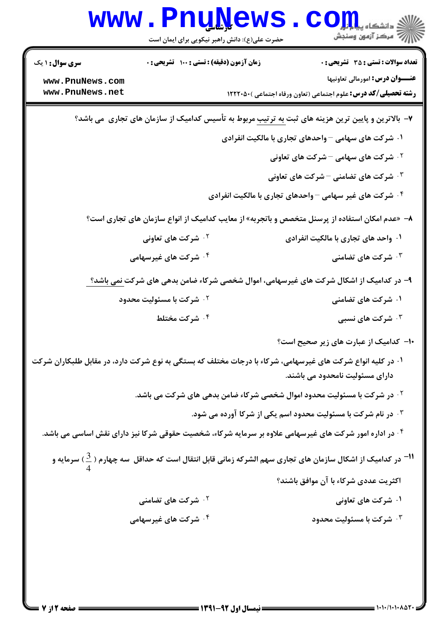|                                                                                                            | <b>www.PnuNews</b><br>حضرت علی(ع): دانش راهبر نیکویی برای ایمان است |  | ر آمرڪز آزمون وسنڊش                                                                                                         |
|------------------------------------------------------------------------------------------------------------|---------------------------------------------------------------------|--|-----------------------------------------------------------------------------------------------------------------------------|
| <b>سری سوال :</b> ۱ یک                                                                                     | زمان آزمون (دقیقه) : تستی : ۱۰۰ تشریحی : ۰                          |  | <b>تعداد سوالات : تستی : 35 - تشریحی : 0</b>                                                                                |
| www.PnuNews.com<br>www.PnuNews.net                                                                         |                                                                     |  | <b>عنـــوان درس:</b> امورمالی تعاونیها<br><b>رشته تحصیلی/کد درس:</b> علوم اجتماعی (تعاون ورفاه اجتماعی )12220 ۱             |
| ۷- بالاترین و پایین ترین هزینه های ثبت <u>به ترتیب</u> مربوط به تأسیس کدامیک از سازمان های تجاری  می باشد؟ |                                                                     |  |                                                                                                                             |
|                                                                                                            |                                                                     |  | ۰۱ شرکت های سهامی – واحدهای تجاری با مالکیت انفرادی                                                                         |
|                                                                                                            |                                                                     |  | <b>7 . شرکت های سهامی – شرکت های تعاونی</b>                                                                                 |
|                                                                                                            |                                                                     |  | شرکت های تضامنی $-$ شرکت های تعاونی $\cdot$                                                                                 |
|                                                                                                            |                                                                     |  | ۰۴ شرکت های غیر سهامی <sup>–</sup> واحدهای تجاری با مالکیت انفرادی                                                          |
|                                                                                                            |                                                                     |  | ۸– «عدم امکان استفاده از پرسنل متخصص و باتجربه» از معایب کدامیک از انواع سازمان های تجاری است؟                              |
|                                                                                                            | <sup>۲ .</sup> شرکت های تعاونی                                      |  | ۰۱ واحد های تجاری با مالکیت انفرادی                                                                                         |
|                                                                                                            | <b>۴ قرکت های غیرسهامی</b> *                                        |  | شرکت های تضامنی $\cdot$                                                                                                     |
|                                                                                                            |                                                                     |  | ۹- در کدامیک از اشکال شرکت های غیرسهامی، اموال شخصی شرکاء ضامن بدهی های شرکت نمی باشد؟                                      |
|                                                                                                            | <b>10 شرکت با مسئولیت محدود</b>                                     |  | ۰۱ شرکت های تضامنی                                                                                                          |
|                                                                                                            | ۰۴ شرکت مختلط                                                       |  | شرکت های نسبی $\cdot^{\mathtt{w}}$                                                                                          |
|                                                                                                            |                                                                     |  | <b>۱۰</b> - کدامیک از عبارت های زیر صحیح است؟                                                                               |
| ۰۱ در کلیه انواع شرکت های غیرسهامی، شرکاء با درجات مختلف که بستگی به نوع شرکت دارد، در مقابل طلبکاران شرکت |                                                                     |  | دارای مسئولیت نامحدود می باشند.                                                                                             |
|                                                                                                            |                                                                     |  | <sup>7 .</sup> در شرکت با مسئولیت محدود اموال شخصی شرکاء ضامن بدهی های شرکت می باشد.                                        |
|                                                                                                            |                                                                     |  | <b>۳ در نام شرکت با مسئولیت محدود اسم یکی از شرکا آورده می شود.</b>                                                         |
|                                                                                                            |                                                                     |  | ۰۴ در اداره امور شرکت های غیرسهامی علاوه بر سرمایه شرکاء، شخصیت حقوقی شرکا نیز دارای نقش اساسی می باشد.                     |
|                                                                                                            |                                                                     |  | در کدامیک از اشکال سازمان های تجاری سهم الشرکه زمانی قابل انتقال است که حداقل ًسه چهارم ( $\frac{(3}{4})$ سرمایه و $^{-11}$ |
|                                                                                                            |                                                                     |  | اکثریت عددی شرکاء با آن موافق باشند؟                                                                                        |
|                                                                                                            | <b>گ شرکت های تضامنی</b>                                            |  | ۰۱ شرکت های تعاونی                                                                                                          |
|                                                                                                            | ۰ <sup>۴</sup> شرکت های غیرسهامی                                    |  | ۰۳ شرکت با مسئولیت محدود                                                                                                    |
|                                                                                                            |                                                                     |  |                                                                                                                             |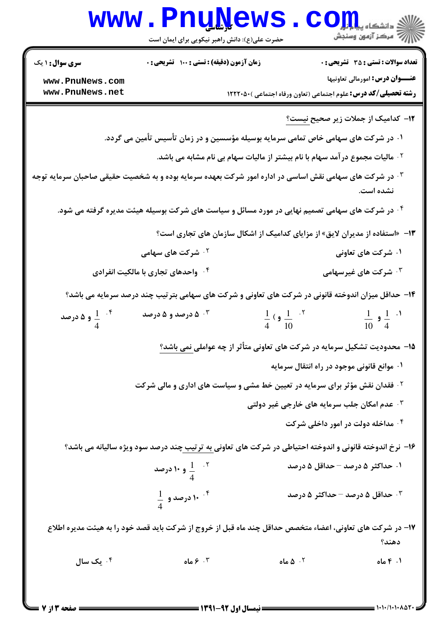|                                                                                                                       | www.PnuNews<br>حضرت علی(ع): دانش راهبر نیکویی برای ایمان است                                              |                                                                                           | رازاری دانشکاه پیابازیا<br>۱۳۸۴ - مرکز آزمون وسنجش  |
|-----------------------------------------------------------------------------------------------------------------------|-----------------------------------------------------------------------------------------------------------|-------------------------------------------------------------------------------------------|-----------------------------------------------------|
| <b>سری سوال : ۱ یک</b>                                                                                                | زمان آزمون (دقیقه) : تستی : 100 تشریحی : 0                                                                |                                                                                           | <b>تعداد سوالات : تستي : 35 ٪ تشریحي : 0</b>        |
| www.PnuNews.com<br>www.PnuNews.net                                                                                    |                                                                                                           | <b>رشته تحصیلی/کد درس:</b> علوم اجتماعی (تعاون ورفاه اجتماعی )۵۰<۱۲۲۲                     | <b>عنـــوان درس:</b> امورمالي تعاونيها              |
|                                                                                                                       |                                                                                                           |                                                                                           |                                                     |
|                                                                                                                       |                                                                                                           |                                                                                           | ۱۲– کدامیک از جملات زیر صحیح <u>نیست؟</u>           |
|                                                                                                                       | ۰۱ در شرکت های سهامی خاص تمامی سرمایه بوسیله مؤسسین و در زمان تأسیس تأمین می گردد.                        |                                                                                           |                                                     |
|                                                                                                                       |                                                                                                           | <sup>7</sup> · مالیات مجموع در آمد سهام با نام بیشتر از مالیات سهام بی نام مشابه می باشد. |                                                     |
| ۰ <sup>۳ .</sup> در شرکت های سهامی نقش اساسی در اداره امور شرکت بعهده سرمایه بوده و به شخصیت حقیقی صاحبان سرمایه توجه |                                                                                                           |                                                                                           | نشده است.                                           |
|                                                                                                                       | ۰۴ در شرکت های سهامی تصمیم نهایی در مورد مسائل و سیاست های شرکت بوسیله هیئت مدیره گرفته می شود.           |                                                                                           |                                                     |
|                                                                                                                       |                                                                                                           | ۱۳- «استفاده از مدیران لایق» از مزایای کدامیک از اشکال سازمان های تجاری است؟              |                                                     |
|                                                                                                                       | <b>7 ۰ شرکت های سهامی</b>                                                                                 |                                                                                           | ۰۱ شرکت های تعاونی                                  |
|                                                                                                                       | <sup>۴</sup> ۰ واحدهای تجاری با مالکیت انفرادی                                                            |                                                                                           | ۰ <sup>۳ ش</sup> رکت های غیرسهامی                   |
|                                                                                                                       | ۱۴- حداقل میزان اندوخته قانونی در شرکت های تعاونی و شرکت های سهامی بتر تیب چند درصد سرمایه می باشد؟       |                                                                                           |                                                     |
| و ۵ درصد $\frac{1}{4}$                                                                                                | ۰۳ ه درصد و ۵ درصد                                                                                        | $\frac{1}{4}$ ( $\frac{1}{10}$ $\frac{5}{10}$                                             | $\frac{1}{10}$ 9 $\frac{1}{4}$ $\cdot$ <sup>1</sup> |
|                                                                                                                       |                                                                                                           | ۱۵– محدودیت تشکیل سرمایه در شرکت های تعاونی متأثر از چه عواملی نمی باشد؟                  |                                                     |
|                                                                                                                       |                                                                                                           |                                                                                           | ۰۱ موانع قانونی موجود در راه انتقال سرمایه          |
|                                                                                                                       | <sup>۲ .</sup> فقدان نقش مؤثر برای سرمایه در تعیین خط مشی و سیاست های اداری و مالی شرکت                   |                                                                                           |                                                     |
|                                                                                                                       |                                                                                                           | ۰ <sup>۳ ـ</sup> عدم امکان جلب سرمایه های خارجی غیر دولتی                                 |                                                     |
|                                                                                                                       |                                                                                                           |                                                                                           | ۰۴ مداخله دولت در امور داخلی شرکت                   |
|                                                                                                                       | ۱۶– نرخ اندوخته قانونی و اندوخته احتیاطی در شرکت های تعاونی به ترتیب چند درصد سود ویژه سالیانه می باشد؟   |                                                                                           |                                                     |
|                                                                                                                       | و ۱۰ درصد $\frac{1}{4}$ $^{-1}$                                                                           |                                                                                           | ۱. حداکثر ۵ درصد – حداقل ۵ درصد                     |
|                                                                                                                       | $\frac{1}{4}$ درصد و $\frac{1}{4}$                                                                        |                                                                                           | ۰۳ حداقل ۵ درصد – <i>ح</i> داکثر ۵ درصد             |
|                                                                                                                       | ۱۷– در شرکت های تعاونی، اعضاء متخصص حداقل چند ماه قبل از خروج از شرکت باید قصد خود را به هیئت مدیره اطلاع |                                                                                           | دهند؟                                               |
| ۰۴ یک سال                                                                                                             | ۰۳ کاه $\mathcal{S}$                                                                                      | $0.4 \Delta$ ماه                                                                          | ۰۱ ۴ ماه                                            |
| صفحه ۱۳ /۰                                                                                                            | = نیمسال اول 92-1391 =                                                                                    |                                                                                           |                                                     |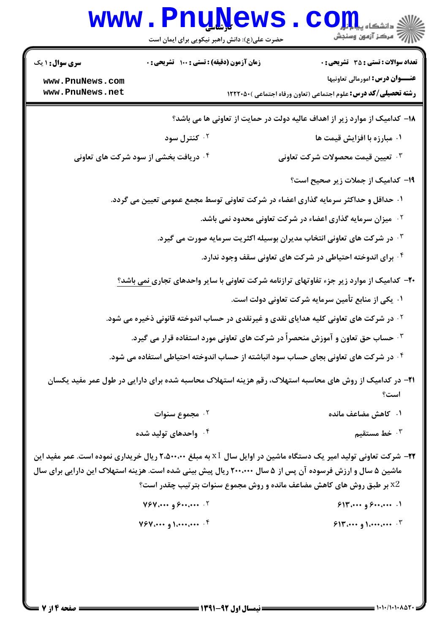|                                           | www.PnuNews<br>حضرت علی(ع): دانش راهبر نیکویی برای ایمان است                                              | د دانشڪاه پ <b>يا <mark>ہو</mark>الوال</b><br>(≂ مرڪز آزمون وسنڊش                                                         |
|-------------------------------------------|-----------------------------------------------------------------------------------------------------------|---------------------------------------------------------------------------------------------------------------------------|
| <b>سری سوال : ۱ یک</b><br>www.PnuNews.com | زمان آزمون (دقیقه) : تستی : ۱۰۰ تشریحی : ۰                                                                | <b>تعداد سوالات : تستی : 35 ٪ تشریحی : 0</b><br>عنـــوان درس: امورمالی تعاونیها                                           |
| www.PnuNews.net                           |                                                                                                           | <b>رشته تحصیلی/کد درس:</b> علوم اجتماعی (تعاون ورفاه اجتماعی )1۲۲۲۰۵۰                                                     |
|                                           |                                                                                                           | ۱۸– کدامیک از موارد زیر از اهداف عالیه دولت در حمایت از تعاونی ها می باشد؟                                                |
|                                           | ۰۲ کنترل سود                                                                                              | ۰۱ مبارزه با افزایش قیمت ها                                                                                               |
|                                           | ۰۴ دریافت بخشی از سود شرکت های تعاونی                                                                     | تعيين قيمت محصولات شركت تعاونى $\cdot^{\texttt{w}}$                                                                       |
|                                           |                                                                                                           | 1۹- کدامیک از جملات زیر صحیح است؟                                                                                         |
|                                           | ۰۱ حداقل و حداکثر سرمایه گذاری اعضاء در شرکت تعاونی توسط مجمع عمومی تعیین می گردد.                        |                                                                                                                           |
|                                           |                                                                                                           | <sup>۰۲</sup> میزان سرمایه گذاری اعضاء در شرکت تعاونی محدود نمی باشد.                                                     |
|                                           |                                                                                                           | ۰۳ در شرکت های تعاونی انتخاب مدیران بوسیله اکثریت سرمایه صورت می گیرد.                                                    |
|                                           |                                                                                                           | <sup>۴</sup> ۰ برای اندوخته احتیاطی در شرکت های تعاونی سقف وجود ندارد.                                                    |
|                                           |                                                                                                           | <b>۲۰</b> - کدامیک از موارد زیر جزء تفاوتهای ترازنامه شرکت تعاونی با سایر واحدهای تجاری <u>نمی باشد؟</u>                  |
|                                           |                                                                                                           | ۰۱ یکی از منابع تأمین سرمایه شرکت تعاونی دولت است.                                                                        |
|                                           | <sup>۲ .</sup> در شرکت های تعاونی کلیه هدایای نقدی و غیرنقدی در حساب اندوخته قانونی ذخیره می شود.         |                                                                                                                           |
|                                           | ۰۳ حساب حق تعاون و آموزش منحصراً در شرکت های تعاونی مورد استفاده قرار می گیرد.                            |                                                                                                                           |
|                                           | ۰۴ در شرکت های تعاونی بجای حساب سود انباشته از حساب اندوخته احتیاطی استفاده می شود.                       |                                                                                                                           |
|                                           |                                                                                                           | ۲۱– در کدامیک از روش های محاسبه استهلاک، رقم هزینه استهلاک محاسبه شده برای دارایی در طول عمر مفید یکسان<br>است؟           |
|                                           | ۰ <sup>۲</sup> مجموع سنوات                                                                                | ۰۱ کاهش مضاعف مانده                                                                                                       |
|                                           | ۰۴ واحدهای تولید شده                                                                                      | ۰ <sup>۳</sup> خط مستقیم                                                                                                  |
|                                           |                                                                                                           | <b>۲۲</b> - شرکت تعاونی تولید امیر یک دستگاه ماشین در اوایل سال X1 به مبلغ ۲٬۵۰۰٬۰۰۰ ریال خریداری نموده است. عمر مفید این |
|                                           | ماشین ۵ سال و ارزش فرسوده آن پس از ۵ سال ۲۰۰،۰۰۰ ریال پیش بینی شده است. هزینه استهلاک این دارایی برای سال |                                                                                                                           |
|                                           |                                                                                                           | $\mathrm{x}2$ بر طبق روش های کاهش مضاعف مانده و روش مجموع سنوات بترتیب چقدر است $\mathrm{x}2$                             |
|                                           | $Y5Y_{1}Y_{9}Y_{1}Y$                                                                                      | 91499                                                                                                                     |
|                                           | $Y5Y_{1}Y_{p}Y_{p}$                                                                                       | ۲. ۱٬۰۰۰٬۰۰۰ و ۶۱۳٬۰۰۰                                                                                                    |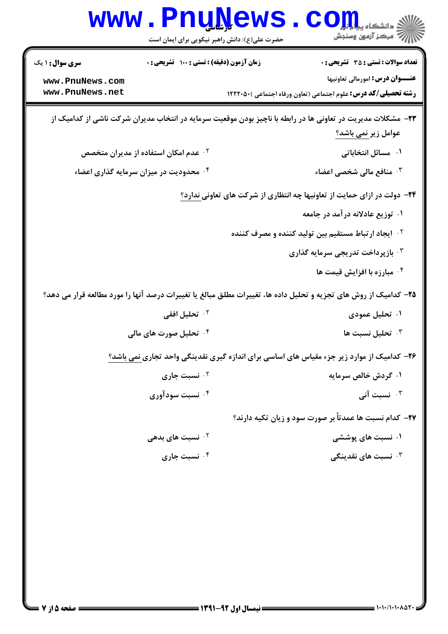| <b>WWW</b>                                                   | <b>ULTA</b><br>حضرت علی(ع): دانش راهبر نیکویی برای ایمان است | دانشگاه ی <b>یا ب<sup>ا</sup>م تو</b><br>7' مرڪز آزمون وسنڊش                                                                                                    |
|--------------------------------------------------------------|--------------------------------------------------------------|-----------------------------------------------------------------------------------------------------------------------------------------------------------------|
| <b>سری سوال : ۱ یک</b><br>www.PnuNews.com<br>www.PnuNews.net | <b>زمان آزمون (دقیقه) : تستی : 100 تشریحی : 0</b>            | <b>تعداد سوالات : تستی : 35 - تشریحی : 0</b><br><b>عنـــوان درس:</b> امورمالي تعاونيها<br><b>رشته تحصیلی/کد درس:</b> علوم اجتماعی (تعاون ورفاه اجتماعی )1۲۲۲۰۵۰ |
|                                                              |                                                              | ۲۳– مشکلات مدیریت در تعاونی ها در رابطه با ناچیز بودن موقعیت سرمایه در انتخاب مدیران شرکت ناشی از کدامیک از<br>عوامل زیر نمی باشد؟                              |
|                                                              | <sup>۲ .</sup> عدم امکان استفاده از مدیران متخصص             | ۰۱ مسائل انتخاباتی                                                                                                                                              |
|                                                              | ۰۴ محدودیت در میزان سرمایه گذاری اعضاء                       | ۰ <sup>۳</sup> منافع مالی شخصی اعضاء                                                                                                                            |
|                                                              |                                                              | <b>۲۴</b> - دولت در ازای حمایت از تعاونیها چه انتظاری از شرکت های تعاونی ندارد؟                                                                                 |
|                                                              |                                                              | ۰۱ توزیع عادلانه در آمد در جامعه                                                                                                                                |
|                                                              |                                                              | <sup>۰۲</sup> ایجاد ارتباط مستقیم بین تولید کننده و مصرف کننده                                                                                                  |
|                                                              |                                                              | ۰۳ بازپرداخت تدریجی سرمایه گذاری                                                                                                                                |
|                                                              |                                                              | ۰۴ مبارزه با افزایش قیمت ها                                                                                                                                     |
|                                                              |                                                              | ۲۵– کدامیک از روش های تجزیه و تحلیل داده ها، تغییرات مطلق مبالغ یا تغییرات درصد آنها را مورد مطالعه قرار می دهد؟                                                |
|                                                              | ۰ <sup>۲</sup> تحلیل افقی                                    | ۰۱ تحلیل عمودی                                                                                                                                                  |
|                                                              | ۰ <sup>۴</sup> تحلیل صورت های مالی                           | ۰۳ تحلیل نسبت ها                                                                                                                                                |
|                                                              |                                                              | <b>۲۶</b> - کدامیک از موارد زیر جزء مقیاس های اساسی برای اندازه گیری نقدینگی واحد تجاری نمی باشد؟                                                               |
|                                                              | ۰۲ نسبت جاری                                                 | ۰۱ گردش خالص سرمایه                                                                                                                                             |
|                                                              | ۰۴ نسبت سودآوري                                              | نسبت آنی $\cdot$                                                                                                                                                |
|                                                              |                                                              | <b>۳۷- کدام نسبت ها عمدتاً بر صورت سود و زیان تکیه دارند</b> ؟                                                                                                  |
|                                                              | ۰ <sup>۲</sup> نسبت های بدهی                                 | ۰۱ نسبت های پوششی                                                                                                                                               |
|                                                              | ۰۴ نسبت جاری                                                 | نسبت های نقدینگی $\cdot$                                                                                                                                        |
|                                                              |                                                              |                                                                                                                                                                 |
|                                                              |                                                              |                                                                                                                                                                 |
|                                                              |                                                              |                                                                                                                                                                 |
|                                                              |                                                              |                                                                                                                                                                 |
|                                                              |                                                              |                                                                                                                                                                 |
|                                                              |                                                              |                                                                                                                                                                 |
|                                                              |                                                              |                                                                                                                                                                 |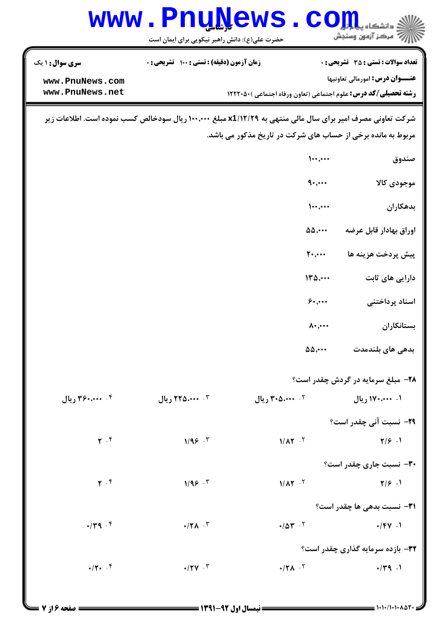| زمان آزمون (دقیقه) : تستی : ۱۰۰ آتشریحی : ۰<br><b>سری سوال : ۱ یک</b><br>www.PnuNews.com<br>www.PnuNews.net<br><b>رشته تحصیلی/کد درس:</b> علوم اجتماعی (تعاون ورفاه اجتماعی )1۲۲۲۰۵۰<br>شرکت تعاونی مصرف امیر برای سال مالی منتهی به 1/۱۲/۲۹ مبلغ ۱۰۰٬۰۰۰ ریال سودخالص کسب نموده است. اطلاعات زیر<br>مربوط به مانده برخی از حساب های شرکت در تاریخ مذکور می باشد.<br>$\dots, \dots$<br>$\mathbf{q}_{\star,\star\star\star}$<br>1<br>$\Delta\Delta, \cdots$<br>$\mathbf{Y}$<br>170,<br>$\mathfrak{s}_{\ast,\ast\ast\ast}$<br>$\lambda$<br>$\Delta\Delta, \cdots$<br>۴. ۴۰۰،۰۰۰ ریال<br>$15.444$ ريال<br>۰۲ ۴۰۵٬۰۰۰ ریال | <b>تعداد سوالات : تستی : 35 - تشریحی : 0</b><br>عنـــوان درس: امورمالي تعاونيها<br>صندوق<br>موجودى كالا<br>بدهكاران<br>اوراق بهادار قابل عرضه<br>پيش پردخت هزينه ها<br>دارایی های ثابت<br>اسناد پرداختنی |  |  |
|------------------------------------------------------------------------------------------------------------------------------------------------------------------------------------------------------------------------------------------------------------------------------------------------------------------------------------------------------------------------------------------------------------------------------------------------------------------------------------------------------------------------------------------------------------------------------------------------------------------------|----------------------------------------------------------------------------------------------------------------------------------------------------------------------------------------------------------|--|--|
|                                                                                                                                                                                                                                                                                                                                                                                                                                                                                                                                                                                                                        |                                                                                                                                                                                                          |  |  |
|                                                                                                                                                                                                                                                                                                                                                                                                                                                                                                                                                                                                                        |                                                                                                                                                                                                          |  |  |
|                                                                                                                                                                                                                                                                                                                                                                                                                                                                                                                                                                                                                        |                                                                                                                                                                                                          |  |  |
|                                                                                                                                                                                                                                                                                                                                                                                                                                                                                                                                                                                                                        |                                                                                                                                                                                                          |  |  |
|                                                                                                                                                                                                                                                                                                                                                                                                                                                                                                                                                                                                                        |                                                                                                                                                                                                          |  |  |
|                                                                                                                                                                                                                                                                                                                                                                                                                                                                                                                                                                                                                        |                                                                                                                                                                                                          |  |  |
|                                                                                                                                                                                                                                                                                                                                                                                                                                                                                                                                                                                                                        |                                                                                                                                                                                                          |  |  |
|                                                                                                                                                                                                                                                                                                                                                                                                                                                                                                                                                                                                                        |                                                                                                                                                                                                          |  |  |
|                                                                                                                                                                                                                                                                                                                                                                                                                                                                                                                                                                                                                        |                                                                                                                                                                                                          |  |  |
|                                                                                                                                                                                                                                                                                                                                                                                                                                                                                                                                                                                                                        |                                                                                                                                                                                                          |  |  |
|                                                                                                                                                                                                                                                                                                                                                                                                                                                                                                                                                                                                                        |                                                                                                                                                                                                          |  |  |
|                                                                                                                                                                                                                                                                                                                                                                                                                                                                                                                                                                                                                        |                                                                                                                                                                                                          |  |  |
|                                                                                                                                                                                                                                                                                                                                                                                                                                                                                                                                                                                                                        | بستانكاران                                                                                                                                                                                               |  |  |
|                                                                                                                                                                                                                                                                                                                                                                                                                                                                                                                                                                                                                        | بدھی ھای بلندمدت                                                                                                                                                                                         |  |  |
|                                                                                                                                                                                                                                                                                                                                                                                                                                                                                                                                                                                                                        | <b>78- مبلغ سرمایه در گردش چقدر است؟</b>                                                                                                                                                                 |  |  |
|                                                                                                                                                                                                                                                                                                                                                                                                                                                                                                                                                                                                                        | ۰۱ ۱۷۰٬۰۰۰ ریال                                                                                                                                                                                          |  |  |
|                                                                                                                                                                                                                                                                                                                                                                                                                                                                                                                                                                                                                        | <b>۲۹</b> – نسبت آنی چقدر است؟                                                                                                                                                                           |  |  |
| 1/99.7<br>$\mathbf{r}$ . $\mathbf{r}$<br>$1/\Lambda$ $\uparrow$ $\uparrow$                                                                                                                                                                                                                                                                                                                                                                                                                                                                                                                                             | 7/9.1                                                                                                                                                                                                    |  |  |
|                                                                                                                                                                                                                                                                                                                                                                                                                                                                                                                                                                                                                        | <b>۳۰</b> نسبت جاری چقدر است؟                                                                                                                                                                            |  |  |
| $\mathbf{r}$ . $\mathbf{r}$<br>1/99.7<br>$1/\Lambda$ $\uparrow$ $\uparrow$                                                                                                                                                                                                                                                                                                                                                                                                                                                                                                                                             | $Y/\xi$ .                                                                                                                                                                                                |  |  |
|                                                                                                                                                                                                                                                                                                                                                                                                                                                                                                                                                                                                                        | <b>٣١</b> - نسبت بدهي ها چقدر است؟                                                                                                                                                                       |  |  |
| $\cdot$ /٣٩ .۴<br>$\cdot$ /٢ $\Lambda$ .۳<br>$\cdot/\Delta \Upsilon$ .                                                                                                                                                                                                                                                                                                                                                                                                                                                                                                                                                 | $\cdot$ /۴۷.1                                                                                                                                                                                            |  |  |
|                                                                                                                                                                                                                                                                                                                                                                                                                                                                                                                                                                                                                        | ۳۲- بازده سرمایه گذاری چقدر است؟                                                                                                                                                                         |  |  |
| $\cdot$ /۲. $\cdot$ $\uparrow$<br>$\cdot$ /۲۷ $\cdot$<br>$\cdot$ /٢ $\Lambda$ .                                                                                                                                                                                                                                                                                                                                                                                                                                                                                                                                        | $\frac{1}{2}$                                                                                                                                                                                            |  |  |